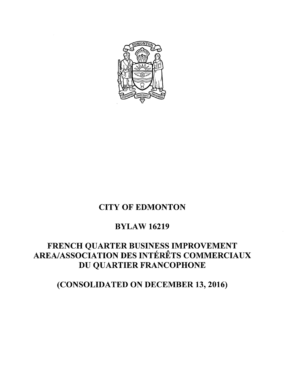

# CITY OF EDMONTON

## BYLAW 16219

# FRENCH QUARTER BUSINESS IMPROVEMENT<br> AREA/ASSOCIATION DES INTÉRÊTS COMMERCIAUX DU QUARTIER FRANCOPHONE

(CONSOLIDATED ON DECEMBER 13, 2016)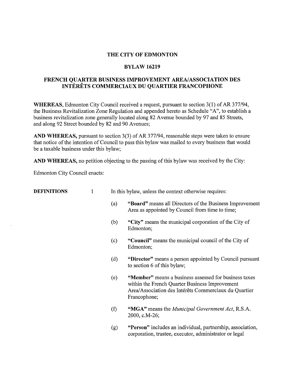#### **THE CITY OF EDMONTON**

#### **BYLAW 16219**

#### **FRENCH QUARTER BUSINESS IMPROVEMENT AREA/ASSOCIATION DES INTERETS COMMERCIAUX DU QUARTIER FRANCOPHONE**

**WHEREAS,** Edmonton City Council received a request, pursuant to section 3(1) of AR 377/94, the Business Revitalization Zone Regulation and appended hereto as Schedule "A", to establish a business revitalization zone generally located along 82 A venue bounded by 97 and 85 Streets, and along 92 Street bounded by 82 and 90 Avenues;

**AND WHEREAS,** pursuant to section 3(3) of AR 377/94, reasonable steps were taken to ensure that notice of the intention of Council to pass this bylaw was mailed to every business that would be a taxable business under this bylaw;

**AND WHEREAS,** no petition objecting to the passing of this bylaw was received by the City:

Edmonton City Council enacts:

| <b>DEFINITIONS</b> |     | In this bylaw, unless the context otherwise requires:                                                                                                                            |
|--------------------|-----|----------------------------------------------------------------------------------------------------------------------------------------------------------------------------------|
|                    | (a) | "Board" means all Directors of the Business Improvement<br>Area as appointed by Council from time to time;                                                                       |
|                    | (b) | "City" means the municipal corporation of the City of<br>Edmonton;                                                                                                               |
|                    | (c) | "Council" means the municipal council of the City of<br>Edmonton;                                                                                                                |
|                    | (d) | "Director" means a person appointed by Council pursuant<br>to section 6 of this bylaw;                                                                                           |
|                    | (e) | "Member" means a business assessed for business taxes<br>within the French Quarter Business Improvement<br>Area/Association des Intérêts Commerciaux du Quartier<br>Francophone; |
|                    | (f) | "MGA" means the <i>Municipal Government Act</i> , R.S.A.<br>2000, c.M-26;                                                                                                        |
|                    | (g) | "Person" includes an individual, partnership, association,<br>corporation, trustee, executor, administrator or legal                                                             |
|                    |     |                                                                                                                                                                                  |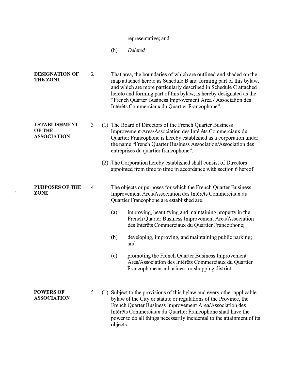## representative; and

(h) *Deleted*

| <b>DESIGNATION OF</b><br><b>THE ZONE</b>                    | $\overline{2}$ |                   | That area, the boundaries of which are outlined and shaded on the<br>map attached hereto as Schedule B and forming part of this bylaw,<br>and which are more particularly described in Schedule C attached<br>hereto and forming part of this bylaw, is hereby designated as the<br>"French Quarter Business Improvement Area / Association des<br>Intérêts Commerciaux du Quartier Francophone".                                                                                                                                                                               |
|-------------------------------------------------------------|----------------|-------------------|---------------------------------------------------------------------------------------------------------------------------------------------------------------------------------------------------------------------------------------------------------------------------------------------------------------------------------------------------------------------------------------------------------------------------------------------------------------------------------------------------------------------------------------------------------------------------------|
| <b>ESTABLISHMENT</b><br><b>OF THE</b><br><b>ASSOCIATION</b> | 3              |                   | (1) The Board of Directors of the French Quarter Business<br>Improvement Area/Association des Intérêts Commerciaux du<br>Quartier Francophone is hereby established as a corporation under<br>the name "French Quarter Business Association/Association des<br>entreprises du quartier francophone".<br>(2) The Corporation hereby established shall consist of Directors<br>appointed from time to time in accordance with section 6 hereof.                                                                                                                                   |
| <b>PURPOSES OF THE</b><br><b>ZONE</b>                       | 4              | (a)<br>(b)<br>(c) | The objects or purposes for which the French Quarter Business<br>Improvement Area/Association des Intérêts Commerciaux du<br>Quartier Francophone are established are:<br>improving, beautifying and maintaining property in the<br>French Quarter Business Improvement Area/Association<br>des Intérêts Commerciaux du Quartier Francophone;<br>developing, improving, and maintaining public parking;<br>and<br>promoting the French Quarter Business Improvement<br>Area/Association des Intérêts Commerciaux du Quartier<br>Francophone as a business or shopping district. |
| <b>POWERS OF</b><br><b>ASSOCIATION</b>                      | 5              | objects.          | (1) Subject to the provisions of this bylaw and every other applicable<br>bylaw of the City or statute or regulations of the Province, the<br>French Quarter Business Improvement Area/Association des<br>Intérêts Commerciaux du Quartier Francophone shall have the<br>power to do all things necessarily incidental to the attainment of its                                                                                                                                                                                                                                 |

 $\mathbb{R}^n$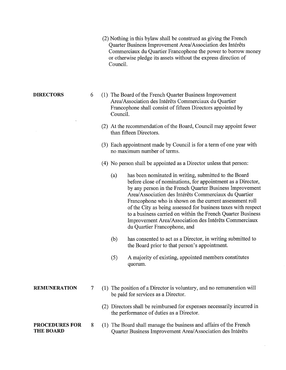|                                           |   |     | (2) Nothing in this bylaw shall be construed as giving the French<br>Quarter Business Improvement Area/Association des Intérêts<br>Commerciaux du Quartier Francophone the power to borrow money<br>or otherwise pledge its assets without the express direction of<br>Council.                                                                                                                                                                                                                                                      |
|-------------------------------------------|---|-----|--------------------------------------------------------------------------------------------------------------------------------------------------------------------------------------------------------------------------------------------------------------------------------------------------------------------------------------------------------------------------------------------------------------------------------------------------------------------------------------------------------------------------------------|
| <b>DIRECTORS</b>                          | 6 |     | (1) The Board of the French Quarter Business Improvement<br>Area/Association des Intérêts Commerciaux du Quartier<br>Francophone shall consist of fifteen Directors appointed by<br>Council.                                                                                                                                                                                                                                                                                                                                         |
|                                           |   |     | (2) At the recommendation of the Board, Council may appoint fewer<br>than fifteen Directors.                                                                                                                                                                                                                                                                                                                                                                                                                                         |
|                                           |   |     | (3) Each appointment made by Council is for a term of one year with<br>no maximum number of terms.                                                                                                                                                                                                                                                                                                                                                                                                                                   |
|                                           |   |     | (4) No person shall be appointed as a Director unless that person:                                                                                                                                                                                                                                                                                                                                                                                                                                                                   |
|                                           |   |     | has been nominated in writing, submitted to the Board<br>(a)<br>before close of nominations, for appointment as a Director,<br>by any person in the French Quarter Business Improvement<br>Area/Association des Intérêts Commerciaux du Quartier<br>Francophone who is shown on the current assessment roll<br>of the City as being assessed for business taxes with respect<br>to a business carried on within the French Quarter Business<br>Improvement Area/Association des Intérêts Commerciaux<br>du Quartier Francophone, and |
|                                           |   |     | has consented to act as a Director, in writing submitted to<br>(b)<br>the Board prior to that person's appointment.                                                                                                                                                                                                                                                                                                                                                                                                                  |
|                                           |   |     | A majority of existing, appointed members constitutes<br>(5)<br>quorum.                                                                                                                                                                                                                                                                                                                                                                                                                                                              |
| <b>REMUNERATION</b>                       | 7 |     | (1) The position of a Director is voluntary, and no remuneration will<br>be paid for services as a Director.                                                                                                                                                                                                                                                                                                                                                                                                                         |
|                                           |   |     | (2) Directors shall be reimbursed for expenses necessarily incurred in<br>the performance of duties as a Director.                                                                                                                                                                                                                                                                                                                                                                                                                   |
| <b>PROCEDURES FOR</b><br><b>THE BOARD</b> | 8 | (1) | The Board shall manage the business and affairs of the French<br>Quarter Business Improvement Area/Association des Intérêts                                                                                                                                                                                                                                                                                                                                                                                                          |

 $\sim$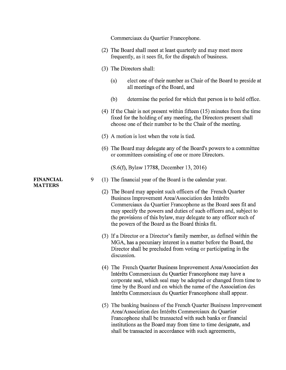|                  |   | Commerciaux du Quartier Francophone.                                                                                                                                                                                                                                                                                                                                                |
|------------------|---|-------------------------------------------------------------------------------------------------------------------------------------------------------------------------------------------------------------------------------------------------------------------------------------------------------------------------------------------------------------------------------------|
|                  |   | (2) The Board shall meet at least quarterly and may meet more<br>frequently, as it sees fit, for the dispatch of business.                                                                                                                                                                                                                                                          |
|                  |   | (3) The Directors shall:                                                                                                                                                                                                                                                                                                                                                            |
|                  |   | elect one of their number as Chair of the Board to preside at<br>(a)<br>all meetings of the Board, and                                                                                                                                                                                                                                                                              |
|                  |   | determine the period for which that person is to hold office.<br>(b)                                                                                                                                                                                                                                                                                                                |
|                  |   | $(4)$ If the Chair is not present within fifteen $(15)$ minutes from the time<br>fixed for the holding of any meeting, the Directors present shall<br>choose one of their number to be the Chair of the meeting.                                                                                                                                                                    |
|                  |   | (5) A motion is lost when the vote is tied.                                                                                                                                                                                                                                                                                                                                         |
|                  |   | (6) The Board may delegate any of the Board's powers to a committee<br>or committees consisting of one or more Directors.                                                                                                                                                                                                                                                           |
|                  |   | (S.6(f), Bylaw 17788, December 13, 2016)                                                                                                                                                                                                                                                                                                                                            |
| <b>FINANCIAL</b> | 9 | (1) The financial year of the Board is the calendar year.                                                                                                                                                                                                                                                                                                                           |
| <b>MATTERS</b>   |   | (2) The Board may appoint such officers of the French Quarter<br>Business Improvement Area/Association des Intérêts<br>Commerciaux du Quartier Francophone as the Board sees fit and<br>may specify the powers and duties of such officers and, subject to<br>the provisions of this bylaw, may delegate to any officer such of<br>the powers of the Board as the Board thinks fit. |
|                  |   | (3) If a Director or a Director's family member, as defined within the<br>MGA, has a pecuniary interest in a matter before the Board, the<br>Director shall be precluded from voting or participating in the<br>discussion.                                                                                                                                                         |
|                  |   | (4) The French Quarter Business Improvement Area/Association des<br>Intérêts Commerciaux du Quartier Francophone may have a<br>corporate seal, which seal may be adopted or changed from time to<br>time by the Board and on which the name of the Association des<br>Intérêts Commerciaux du Quartier Francophone shall appear.                                                    |
|                  |   | (5) The banking business of the French Quarter Business Improvement<br>Area/Association des Intérêts Commerciaux du Quartier<br>Francophone shall be transacted with such banks or financial<br>institutions as the Board may from time to time designate, and<br>shall be transacted in accordance with such agreements,                                                           |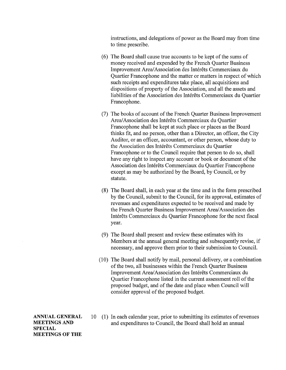instructions, and delegations of power as the Board may from time to time prescribe.

- (6) The Board shall cause true accounts to be kept of the sums of money received and expended by the French Quarter Business Improvement Area/Association des Intérêts Commerciaux du Quartier Francophone and the matter or matters in respect of which such receipts and expenditures take place, all acquisitions and dispositions of property of the Association, and all the assets and liabilities of the Association des Intérêts Commerciaux du Quartier Francophone.
- (7) The books of account of the French Quarter Business Improvement Area/Association des Intérêts Commerciaux du Quartier Francophone shall be kept at such place or places as the Board thinks fit, and no person, other than a Director, an officer, the City Auditor, or an officer, accountant, or other person, whose duty to the Association des Intérêts Commerciaux du Quartier Francophone or to the Council require that person to do so, shall have any right to inspect any account or book or document of the Association des Intérêts Commerciaux du Quartier Francophone except as may be authorized by the Board, by Council, or by statute.
- (8) The Board shall, in each year at the time and in the form prescribed by the Council, submit to the Council, for its approval, estimates of revenues and expenditures expected to be received and made by the French Quarter Business Improvement Area/ Association des Intérêts Commerciaux du Quartier Francophone for the next fiscal year.
- (9) The Board shall present and review these estimates with its Members at the annual general meeting and subsequently revise, if necessary, and approve them prior to their submission to Council.
- (10) The Board shall notify by mail, personal delivery, or a combination of the two, all businesses within the French Quarter Business Improvement Area/Association des Intérêts Commerciaux du Quartier Francophone listed in the current assessment roll of the proposed budget, and of the date and place when Council will consider approval of the proposed budget.

**ANNUAL GENERAL MEETINGS AND SPECIAL MEETINGS OF THE** 

10 (1) In each calendar year, prior to submitting its estimates of revenues and expenditures to Council, the Board shall hold an annual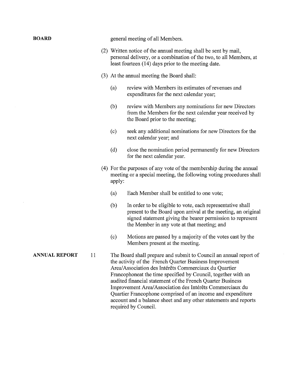| <b>BOARD</b>         |    |        | general meeting of all Members.                                                                                                                                                                                                                                                                                                                                                                                                                                                                                                             |
|----------------------|----|--------|---------------------------------------------------------------------------------------------------------------------------------------------------------------------------------------------------------------------------------------------------------------------------------------------------------------------------------------------------------------------------------------------------------------------------------------------------------------------------------------------------------------------------------------------|
|                      |    |        | (2) Written notice of the annual meeting shall be sent by mail,<br>personal delivery, or a combination of the two, to all Members, at<br>least fourteen (14) days prior to the meeting date.                                                                                                                                                                                                                                                                                                                                                |
|                      |    |        | (3) At the annual meeting the Board shall:                                                                                                                                                                                                                                                                                                                                                                                                                                                                                                  |
|                      |    | (a)    | review with Members its estimates of revenues and<br>expenditures for the next calendar year;                                                                                                                                                                                                                                                                                                                                                                                                                                               |
|                      |    | (b)    | review with Members any nominations for new Directors<br>from the Members for the next calendar year received by<br>the Board prior to the meeting;                                                                                                                                                                                                                                                                                                                                                                                         |
|                      |    | (c)    | seek any additional nominations for new Directors for the<br>next calendar year; and                                                                                                                                                                                                                                                                                                                                                                                                                                                        |
|                      |    | (d)    | close the nomination period permanently for new Directors<br>for the next calendar year.                                                                                                                                                                                                                                                                                                                                                                                                                                                    |
|                      |    | apply: | (4) For the purposes of any vote of the membership during the annual<br>meeting or a special meeting, the following voting procedures shall                                                                                                                                                                                                                                                                                                                                                                                                 |
|                      |    | (a)    | Each Member shall be entitled to one vote;                                                                                                                                                                                                                                                                                                                                                                                                                                                                                                  |
|                      |    | (b)    | In order to be eligible to vote, each representative shall<br>present to the Board upon arrival at the meeting, an original<br>signed statement giving the bearer permission to represent<br>the Member in any vote at that meeting; and                                                                                                                                                                                                                                                                                                    |
|                      |    | (c)    | Motions are passed by a majority of the votes cast by the<br>Members present at the meeting.                                                                                                                                                                                                                                                                                                                                                                                                                                                |
| <b>ANNUAL REPORT</b> | 11 |        | The Board shall prepare and submit to Council an annual report of<br>the activity of the French Quarter Business Improvement<br>Area/Association des Intérêts Commerciaux du Quartier<br>Francophoneat the time specified by Council, together with an<br>audited financial statement of the French Quarter Business<br>Improvement Area/Association des Intérêts Commerciaux du<br>Quartier Francophone comprised of an income and expenditure<br>account and a balance sheet and any other statements and reports<br>required by Council. |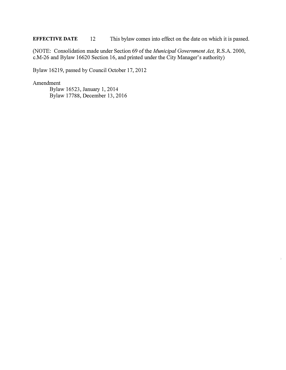**EFFECTIVE DATE** 12 This bylaw comes into effect on the date on which it is passed.

(NOTE: Consolidation made under Section 69 of the *Municipal Government Act,* R.S.A. 2000, c.M-26 and Bylaw 16620 Section 16, and printed under the City Manager's authority)

Bylaw 16219, passed by Council October 17, 2012

Amendment

 Bylaw 16523, January 1, 2014 Bylaw 17788, December 13, 2016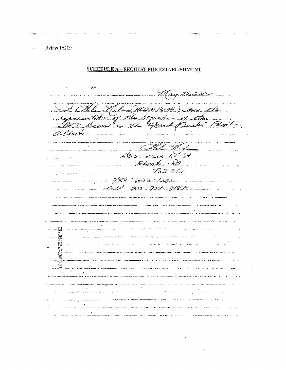**SCHEDULE A - REQUEST FOR ESTABLISHMENT** 

WΥ May 25, 2012 Clam (HELEN NOLAN) . An the representible of the requestor of the alberto  $-\mathcal{H}$ olo  $4805 - 2213$  115 M Float  $-1/2$  $\cdots$  $\frac{1}{2}$  $7675K$  $\label{eq:3} \begin{array}{lll} \bullet\hspace{1.8cm}&\bullet\hspace{1.8cm}&\bullet\hspace{1.8cm}&\bullet\hspace{1.8cm}&\bullet\hspace{1.8cm}&\bullet\hspace{1.8cm}&\bullet\hspace{1.8cm}&\bullet\hspace{1.8cm}&\bullet\hspace{1.8cm}&\bullet\hspace{1.8cm}&\bullet\hspace{1.8cm}&\bullet\hspace{1.8cm}&\bullet\hspace{1.8cm}&\bullet\hspace{1.8cm}&\bullet\hspace{1.8cm}&\bullet\hspace{1.4cm}&\bullet\hspace{1.4cm}&\bullet\hspace{1.4cm}&\bullet\hspace{1$  $\ldots$ Laurence Call 750 904-8187 ة .<br>مصطفة <del>الحمدة :</del> يا : يا : in production and provident particle in the community of the state of the production of the state of the state of the state of the state of the state of the state of the state of the state of the state of the state of the ancient complementation responsive sequential termine securities in the property and the convention of the complete state of the complete state of the complete state of the complete state of the complete state of the compl .<br>Senada de 1930 e 1930 de 1939 de 1939 e 1939 de 1939 de febrero de 1930 de 1930 de 1930 de 1930 de 1930 de 19 in all the control construction of the season and the season of the control of the control and the season of the season of the season of the season of the season of the season of the season of the season of the season of t  $\ldots$   $\mathbb{Z}$ ... a a comparador e conservado en comparador de la característica de la característica de la característica de la  $\sim$ a posso de uso é creer emergencia con el seu company con un seguente de la constitución de la possibilidad de .<br>And the following and a support for the terms a sa participa esta parte de la demonstración proposa a constituídad de la compactación de la manada estadounidad de la .<br>That being mangaching experimental org. Indefines in them - paints demonstrated and - Ed. interest - B - demonstrated ie<br>popiet internationaly product corresponded diametric minimum and (2011). The three all lines .<br>In the company of the and the angle of the company of the company of the company of the company of the company .<br>And purposes by Edit Expressions in modern proper light, the color plan of the and the company of the company of the company of the company of the company of the company of the company of the company of the company of the company of the company of the company of the company of the company of the comp aasta oo weedhadka .<br>The concernence of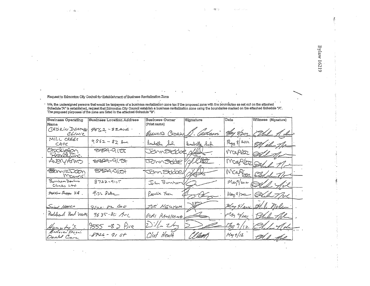Request to Edmonton City Council for Establishment of Business Revitalization Zone

i e las

.<br>Schedule "A" is established, request that Edmonton City Council establish a business revitalization zone tax if the proposed zone with the boundaries as set out on the attached<br>The proposed purposes of the zone are liste

 $\mathcal{A}(\mathcal{C},\mathcal{C})$ 

| <b>Business Operating</b><br>Name  | <b>Business Location Address</b> | <b>Business Owner</b><br>(Print name) | Signature | Date        | Witness (Signature)    |
|------------------------------------|----------------------------------|---------------------------------------|-----------|-------------|------------------------|
| CADRIN DENINGE<br>CLrare           | $9562 - 82406$                   | BERNARD CADRIN D. Cadami              |           |             | nay 8/2012 (Del 1 de)  |
| MILL CREEK<br>CAFE                 | $9562 - 82$ Ave                  | Isobelle Sol Isobelly Sol             |           |             | Flay 8/2012 8/12/16    |
| Ehacklefon<br>Roallitin.           | $\frac{1}{2}$                    | Johnstobben                           |           |             | Marker Salt            |
| ANERYARMS                          | $3764 - 917$                     | JOHN SOOC YN LED                      |           |             | Mapter Off 1/2         |
| <b>FormieDoon</b><br><u>Mangri</u> | 8724C(1)                         | Jan Stode / 1/4                       |           |             | Marter Shel no         |
| Burnham Denture<br>Chriss Ltd      | $8722 - 9157$                    | John Bunnam                           |           |             | Magil 2012 Soll fol    |
| Medicina Shoppe 328.               | GIZZ SIME                        | Rosalia Fuen                          |           |             | Mang 9 por 1 QLA 7 Pol |
| Sweet HAVEO                        | 9/70.82 402                      | TUE NEUTER                            |           |             | May 9/200 Alle Molen   |
| Peolaheard Road Worlds             | 9635-82 Ave                      | GORI RAVILHAMAL                       |           |             | MAY Year Del The       |
| Humpty's.                          | $9555 - 82$ $6ve$                | $\sum k_{\tau}$ $\tau_{\sigma}$       |           |             | 1/29/12 21/21/16       |
| Bonnie Door<br>Donbl Care          | $-5726 - 9154$                   | Clint Heath                           | [[AaGH    | $M$ ay 9/12 | Al the                 |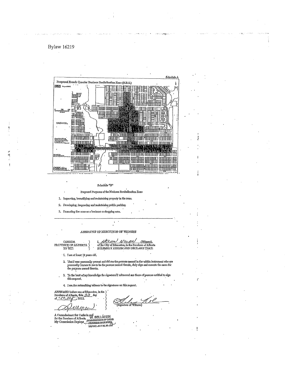

Schedule "B"

Proposed Purposes of the Business Revitalization Zone

1. Improving, beautifying and maintaining property in the zone

2. Developing, improving and maintaining public parking.

3. Promoting the zone as a business or shopping area.

ANNIDAVIT OF EXECUTION OF WITNESS

 $I, \angle$ //Z $\angle$ /T-1/  $\angle$ //D $\angle$ //Miness), of the City of Ridmonton, in the Province of Alberta SOLEMALY AFFIRM AND DECLARE THAT:  $\begin{array}{cc} \text{CANADA} & \\ \text{PROVINGB OF ALBERTA} & \\ \text{TO WIT;} & \text{')} \end{array}$ 

I. Iam at least 18 years old.

- 2. That I was personally present and did see the persons named in the within instrument who are personally known to mo to be the persons named therein, duly sign and except the same for the purpose named therein.
- 3. To the best of my knowledge the signatures I witnessed are those of porsons entitled to sign this request.
- 4. I am the subscribing witness to the signatures on this request

ARFIRMED bafore me at Edmonton, in the )<br>Province of Alberta, this  $\overline{J} \overline{z}$  day 2012

e of Witness)

A Commissioner for Outlis in and<br>for the Province of Alberta, W. SELLGREN<br>My Commission Expires CommissionEn or OATHS<br>My Commission Expires CRADERIA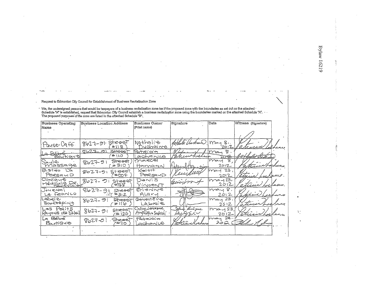Request to Edmonton Cify Council for Establishment *of* Business Revitalization Zone

\* We, the undersigned persons that would be taxpayers of a business revitalization zone ax if the proposed zone with the boundaries as set out on the attached \*<br>Schedule "A" is established, request that Edmonton City Coun

| <b>Business Operating</b> | <b>Business Location Address</b>           | <b>Business Owner</b>                      | Signature               | Date                         | Witness (Signature) |
|---------------------------|--------------------------------------------|--------------------------------------------|-------------------------|------------------------------|---------------------|
| Name                      |                                            | (Print name)                               |                         |                              |                     |
|                           |                                            |                                            |                         |                              |                     |
|                           |                                            |                                            |                         |                              |                     |
| Pause-Cafei.              | дкөбу<br>$8627 - 91$<br>8114               | Nathalie<br>Duchaine                       |                         | May 8<br>201Z                |                     |
| ロジ                        | $2b27 - 2$<br>Street                       | Patricia                                   |                         | $\bar{\mathcal{S}}$ .<br>may |                     |
| <u>Boutique</u>           | $+110$                                     | gchanico                                   | anuarichens.            |                              |                     |
| Saule                     | Sheecr<br>$8627 - 91$                      | marcel                                     |                         | S<br>may                     |                     |
| miassage                  | #310                                       | Hamann                                     | $1h/\Omega$ <i>Acal</i> | 2012                         | Harborn             |
| $L$ a<br>Bistro           | Street,<br>$8627 - 91$                     | Keith                                      |                         | 23,<br>$\gamma$ ay           |                     |
| PeresauD                  | ፞₩∞⊬                                       | PersonD                                    |                         | 2012                         |                     |
| Climigue<br>Médicale De.  | Street<br>8627- つ1<br>`#138                | Denis<br>VinoenT                           |                         | imay 23.<br>2012             |                     |
| Journoi                   | 8627-9:<br>Street                          | Erienne                                    |                         | may 8,                       |                     |
| Le feanco                 | E312                                       | ALCIVY                                     |                         | 2012                         | a taxxe             |
| Labei ez<br>Bookooping    | Streety<br>$8627 - 91$<br>はりし              | Genevience<br>Labrie                       |                         | may 23.<br>2012              |                     |
| Les Pelits                | <b>STROOT</b><br>$8627 - 0.1$              | Celine Leocsque                            | eluce<br>'Luigue        | mod 23                       |                     |
| Rayons de Sòleill         | ัษ 120                                     | Angelique Salpidi                          | بالملهج فرهبه           | 2012                         | atricia             |
| [ৰ ভিইচ্ছ<br>BartiQue     | Street<br>$8627 - 0$<br>^ <del>±</del> 110 | $P_{\rm{eff}}$ Rioioior<br><u>adhenive</u> | attes                   | $max_{1}$ 23.<br>ے مہ        |                     |
|                           |                                            |                                            |                         |                              |                     |
|                           |                                            |                                            |                         |                              |                     |

**Bylaw 16219** 

 $\mathbb{Z}_2^{\times}$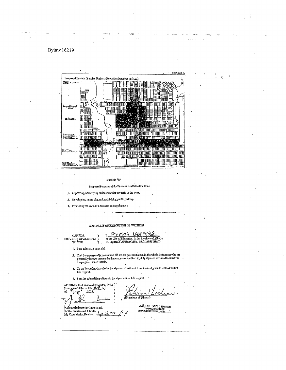

Schedule " $\mathrm{B}^n$ 

Proposed Purposes of the Business Revitalization Zone

1. Improving, beautifying and maintaining property in the zone.

2. Developing, improving and maintaining public parking.

3. Promoting the zone as a business or shopping area

#### AFFIDAVIT OF EXECUTION OF WITNESS

PATRICIA LACHANY

CANADA PROVINCE OF ALBERTA )

#### of the City of Edmonton, in the Province of Alberta SOLBMNLY AFFIRM AND DECLARE THAT:

bricaa

1. I am at least 18 years old.

2. That I was personally present and did see the persons named in the willim instrument who are personally known to me to be the persons named therein, duly sign and execute the same for the purpose named therein.

A Signature of Witness)

- 3. To the bost of my knowledge the signatures'l witnessed are those of persons entitled to sign this request.
- 4. I am the subseribing witness to the signatures on this request.

AltEIRMED before me at Edmonton, in the<br>Provinge of Alberta, this 223 day<br>of May 2012,  $\overline{A}$ 

A Commissioner for Oaths in and<br>for the Province of Alberta. zl z My Commission Expires

DOUGLAS HAROLD ENDRES<br>CONNESTORERFOR ONTIS<br>IN CONNESTORERTIRES APRILET,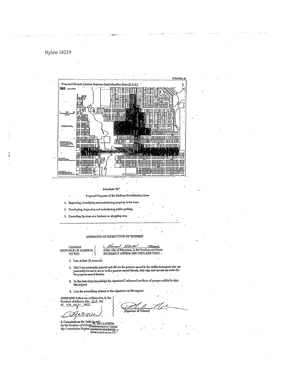

Schedule "B"

Proposed Purposes of the Business Revitalization Zone

1. Improving, beautifying and maintaining property in the zone.

2. Developing, improving and maintaining public parking.

3. Promoting the zone as a business or shopping area.

AUIDDAVIT OF EXECUTION OF WITNESS

CANADA PROVINCE OF ALBERTA

NOLAN (Witness). HELE of the City of Edmonton, in the Province of Alberta<br>SOLEMNLY AFFIRM AND DECLARE THAT:

1. I am at least 18 years old.

2. That I was personally present and did see the persons named in the within instrument who are personally known to me to be the persons named therein, duly sign and execute the same for the purpose named therein.

 $3$  . To the best of my knowledge the signatures<br>  $\rm I$  witnessed are those of porsons entitled to signathis request.

4. Lam the subscribing witness to the signatures on this request.

AFFIRMED before me at Edmonton, in the )<br>Province of Alberta, this  $\overline{23}$  day<br>of  $\overline{Y}$   $\overline{C}$   $\overline{C}$   $\overline{C}$   $\overline{C}$   $\overline{C}$   $\overline{C}$   $\overline{C}$   $\overline{C}$   $\overline{C}$   $\overline{C}$   $\overline{C}$   $\overline{C}$   $\overline{C}$   $\overline{C}$   $\$ 

o PP

A Commissioner for Oaths in and<br>for the Province of Alberta, SELLGREN<br>for the Province of Alberta, SERING COMMISSIONER OF OATHS<br>My Commission Explices FROUNCE OF ALBERTA

Signaturo of Witness)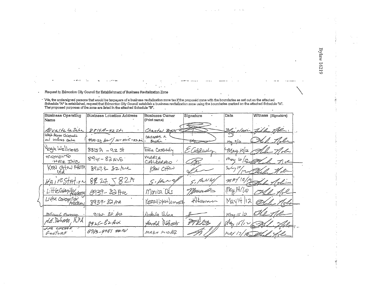**Bylaw 16219** 

 $\frac{1}{2}$ 

#### Request to Edmonton City Council for Establishment of Business Revitalization Zone

 $-37.1$ 

 $\epsilon$ 

<sup>-</sup> 'We, the undersigned persons that would be taxpayers of a business revitalization zone tax if the proposed zone with the boundaries as set out on the attached<br>Schedule <sup>N</sup>A" is established, request that Edmonton City C

 $1 - \frac{1}{2} = 3$ 

 $......$ 

 $\cdots$ 

A.  $-6 - 3$ 

| Business Operating<br>Name                     | Business Location Address       | <b>Business Owner</b><br>(Print name) | Signature | Date                  | Witness (Signature) |
|------------------------------------------------|---------------------------------|---------------------------------------|-----------|-----------------------|---------------------|
|                                                |                                 |                                       |           |                       |                     |
| Exalte be Saba                                 | 8815A-92571                     | Chartal Begg                          |           | <u> Ulay 8/2000 -</u> | 211 Me.             |
| Whyle Avenue Chippechie<br>and wellness centre | $8933 - 32$ Au / 101-3925-82 Ai | CERISTOPER 2<br>Brophia               |           | $\mu_{eq}$ 9/12       | 1.16h               |
| Yoga Wellness                                  | $785A - 92S$                    | Edie Cassady                          | E Corsady | May 10/12             | Lle Holm            |
| mamento<br>HATE INC                            | $894r - 82ArE$                  | MAR(A<br>CALDARALO                    | Fat       |                       | May 10/12 Fred 7 e  |
| $K$ EN $C+$ N PHOTO.                           | 8927.8 82 Ave                   | KEN CHOW                              |           | $2\nu$                | 0. . W. e-          |
| $H$ AI $R$ Station                             | 8827.7827                       | $5.11 - 41$                           | S. PuNK,  | $mRT$ 10/12           | Le Molin            |
| Little Caterpillas                             | 8939 - 82 Ave                   | Monica Dás                            | Monas     | $M_{\rm H}/H/10$      |                     |
| Little Caterpillar                             | 8939-82Ave                      | KERRILINNLOMMER                       | Holsman   | MayH/12               |                     |
| <b><i>Millcuel Musson</i></b>                  | 9562. 82 Aus                    | <u>Artale</u> Uchre                   |           | $M_{M1}$ $S12$        |                     |
| <i>rí.E.</i> Po <i>berts</i> . R.PA            | $8926 - 82401$                  | Harold Réferts                        | PT PL C B | $\mathbb{Z}^{2}$      |                     |
| LHE CHEESE<br>F <del>a</del> c†zre¥            | 8943-8941 8221                  | MAKIE MICHEL                          |           | Mufix 171             |                     |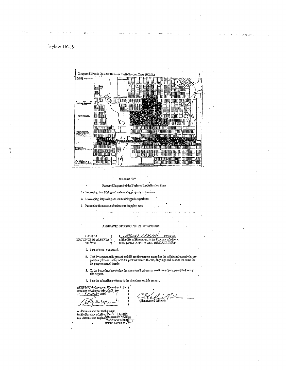#### **Bylaw 16219**

|                       | Proposed Krench Quarter Business Revitalization Zone (B.R.Z.)             | й  |
|-----------------------|---------------------------------------------------------------------------|----|
| <b>BEEN</b> Important |                                                                           | ¥, |
|                       | 47<br>ШU<br>ти<br>π.                                                      |    |
| th tru                | G<br>ᅚ                                                                    |    |
| DESERTH.              | W<br>松田<br>π7<br>أهي<br>Ĥ<br>- 26<br>黒脚                                   |    |
| شاداه مكرسات          | पापाणा<br><b>Tax</b><br><b>NORTH CONTROL</b><br><b>REAL PROPERTY</b><br>W |    |
| <b>British</b>        | 花鼠。<br>IRI.<br>ä.<br>Alexandri<br>(MARITAN ITTI)<br>Ш                     |    |
| <b>GUILLE LE</b>      | m                                                                         |    |

Schedulo "B"

Proposed Purposes of the Business Revitalization Zone

1. Improving, beautifying and maintaining property in the zone.

2. Developing, improving and maintaining public parking.

3. Promoting the zone as a business or shopping area.

#### AFFIDAVIT OF EXECUTION OF WITNESS

 $\ddot{\phantom{0}}$ 

CANADA PROVINCE OF ALBERTA)

 $\ddot{\phantom{a}}$ 

 $\begin{array}{l} \text{I}, \ \ \text{MELAM} \ \text{N0k.4 }\ \text{M}, \ \ \text{(Wilness)} \\ \text{of the City of Hdmonto, in the Provalence of Aberta SOLBMANJY APFIRM AND DECLARE THAT:} \end{array}$ 

1. I am at least 18 years old.

- $2, \;$  That I was personally present and did see the persons named in the within instrument who are personally known to me to be the persons named therein, duly sign and execute the same for the purpose named therein.
- 3. To the best of my knowledge the signatures I witnessed are those of persons entitled to sign this request.
- 4. I am the subscribing witness to the signatures on this request.

AFFIRMED before me at Edmonton, in the )<br>Province of Alberta, this  $\overbrace{23}$  day<br>of  $\overbrace{10000}$  2012,

eilgu ∠∕ A Commissioner for Oaths in and<br>for the Province of AlbertaW. SELLGHEN<br>My Commission Bxpires PROVINGEOF ALBERTA<br>FREEW UILY 86,20

مر<sup>7</sup> س re of Witness'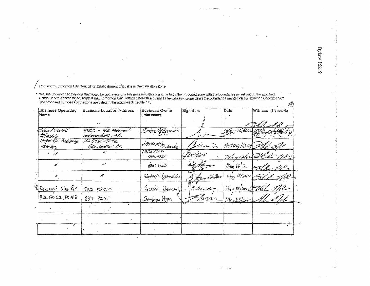Request to Edmonton City Council for Establishment of Business Revitalization Zone

\* We, the undersigned persons that would be taxpayers of a business revitalization zone tax if the proposed zone with the boundaries as set out on the attached<br>Schedule "A" is established, request that Edmonton City Counci

| <b>Business Operating</b>                     | <b>Business Location Address</b>     | Business Owner         | Signature    | Date        | Witness (Signature) |
|-----------------------------------------------|--------------------------------------|------------------------|--------------|-------------|---------------------|
| Name.                                         |                                      | (Print name)           |              |             |                     |
|                                               |                                      |                        |              |             |                     |
|                                               | 8806 - 92 Bircer<br>Felmentoro , Ab. | Anton Moppulis         |              | 16. 2014    |                     |
| M <sub>D</sub> 280-lgc<br>Cennae'<br>Sherapa, | 1058925-82the<br>GOMENTON AS         | JANUNA STUBELLE        |              | AMOY/20R    |                     |
|                                               |                                      | ACGALEIRE<br>CHALIFOUY |              | May 17/82   |                     |
| ≁                                             | ₽                                    | <b>KARL FAES</b>       |              | May 17/12   |                     |
| x                                             | U                                    | Stephanie Legan-Ublace | Constitution | May 18/2012 |                     |
| DEVANEY's RISH PUB                            | 9013 88Ave                           | PATRICK DEVANEL        | Craney       | May 18/2016 |                     |
| BUL GO GI HOUSE                               | 8813 9257.                           | Sangham Hyun           |              | M0423/2012  |                     |
|                                               |                                      |                        |              |             |                     |
|                                               |                                      |                        |              |             |                     |
|                                               |                                      |                        |              |             |                     |

**Bylaw 16219**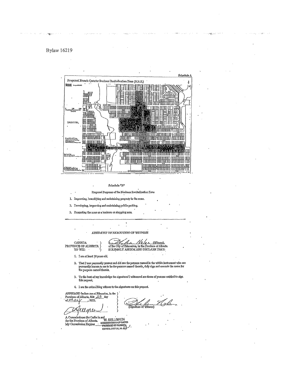

Schedule "B"

Proposed Purposes of the Business Revitalization Zone

1. Improving, beautifying and maintaining property in the zone.

2. Devoloping, improving and maintaining public parking.

3. Promoting the zone as a business or shopping area.

AFITDAVIT OF EXECUTION OF WITNESS

 $\begin{array}{cc} \text{CAMDA} & \cdot \\ \text{PROVINGB OF ALBERTA} \\ \text{TO VIT:} & \cdot \end{array}$ 

Nolas Keeper No la (Wilness),<br>of the City of Edmonton, in the Province of Alberta<br>SOLEMNLY AFFIRM AND DECLARE THAT:

1. Iam at least 18 years old.

- $2.$  That I was personally present and did aes the persons named in the within instrument who are personally known to me to be the persons named therein, duly sign and execute the same for the purpose named therein,
- 3. To the best of my knowledge the signatures'I witnessed are those of persons entitled to sign this request.
- 4. I am the subscribing witness to the signatures on this request.

AEFIRMED before me at Edmonton, in the Province of Alberta, this  $\frac{1}{2}$  day<br>of  $\overline{M}$  and  $\overline{M}$  and  $\overline{M}$  and  $\overline{M}$  and  $\overline{M}$  and  $\overline{M}$  and  $\overline{M}$  and  $\overline{M}$  and  $\overline{M}$  and  $\overline{M}$  and  $\overline{M}$ 

ומצ

(Signaturo of Witness)

A Commissioner for Oaths in and<br>for the Province of Alberta, commissioner of oAths<br>My Commission Expires - PROVINCE OF ALBERTA<br>EXPIRY: JULY 25, 20 4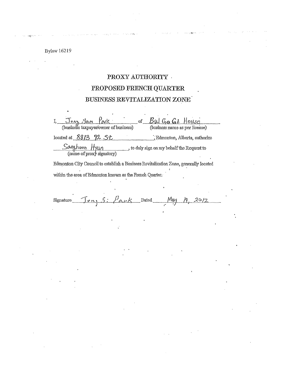# PROXY AUTHORITY  $\cdot$ PROPOSED FRENCH QUARTER BUSINESS REVITALIZATION ZONE

John Park of Bul Gra Gil House  $\mathbf{I}_{\mathbf{I}_{\mathbf{I}}}$ located at 8813 92 St " Edmonton, Alberta, authorize  $\frac{\text{Songhoon}}{\text{(name of proxy slgnatory)}}$ to duly sign on my behalf the Request to Edmonton City Council to establish a Business Revitalization Zone, generally located

within the area of Edmonton known as the French Quarter.

May Dated. Signature  $20/2$  $\sigma_{\Omega}$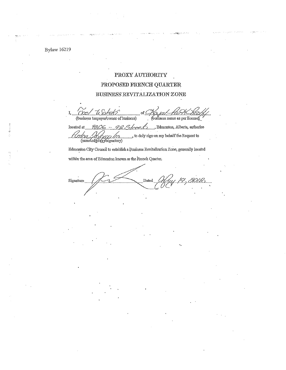## PROXY AUTHORITY PROPOSED FRENCH QUARTER BUSINESS REVITALIZATION ZONE

(business taxpayer/owner of business) (business name as per license)

 $8806 - 92$  Street located at Bdmonton, Alberta, authorize , to duly sign on my behalf the Request to Hnton (name of proxy signatory)

Edmonton City Council to establish a Business Revitalization Zone, generally located

within the area of Edmonton known as the French Quarter.

Signature Dated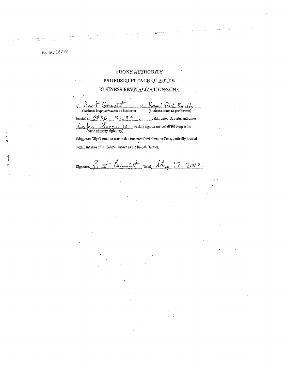. . . . .

### PROXY AUTHORITY PROPOSED FRENCH QUARTER BUSINESS REVITAUZATION ZONE

nd S  $\hat{I}_1$ o£. Koya Realt (business name as per license) (businass taxpayer/owner of business) 8806 92  $\mathfrak s$  $\leftarrow$ , Edmonton, Alberta, authorizo looated at<sub>i</sub>

Section tou Morgaills to duly sign on my behalf the Request to

Edinouton City Connoil to establish a Business Revitalization Zone, generally located within the area of Edmonton known as the French Quarter,

 $\mathcal{N}_{\mathbf{A},\mathbf{y}}$  $17.2012$ Signature Dated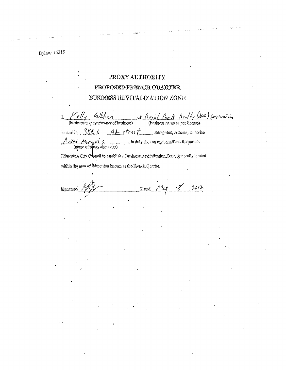## PROXY AUTHORITY PROPOSED FRENCH QUARTER BUSINESS REVITALIZATION ZONE

of Royal Park Realty (2010) Corporation Telly  $\langle a_i b_i b_j \rangle$ I, (business taxpayer/owner of business) located at<sub>i</sub>  $880<$  $9 + 8$ treet Edmonton, Alberta, authorizo  $A_A$  *ton.*  $M_0$   $C_A$   $J$   $I$   $S$   $(n$   $(n)$   $(n)$   $o$   $o$   $p$   $o$   $x$   $y$   $d$   $p$   $p$   $q$   $s$   $q$ to duly sign on my behalf the Request to

Edmonton City Council to establish a Business Revitalization Zone, generally located within the grea of Edmonton known as the Evench Quarter.

 $2013-$ Signatur Dated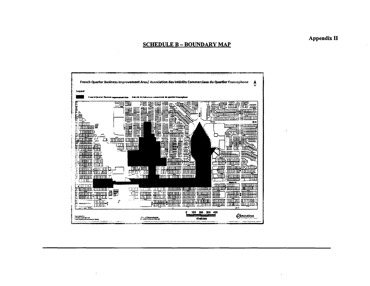#### **SCHEDULE B - BOUNDARY MAP**



**Appendix II**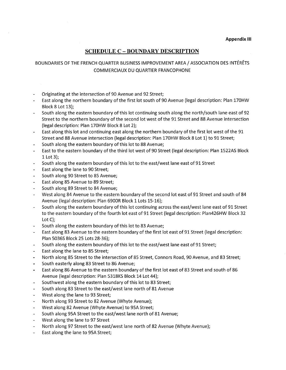#### **SCHEDULE C** - **BOUNDARY DESCRIPTION**

#### BOUNDARIES OF THE FRENCH QUARTER BUSINESS IMPROVEMENT AREA/ ASSOCIATION DES INTERETS COMMERCIAUX DU QUARTIER FRANCOPHONE

- Originating at the intersection of 90 Avenue and 92 Street;
- East along the northern boundary of the first lot south of 90 Avenue (legal description: Plan 170HW Block 8 Lot 13);
- South along the eastern boundary of this lot continuing south along the north/south lane east of 92 Street to the northern boundary of the second lot west of the 91 Street and 88 Avenue intersection (legal description: Plan 170HW Block 8 Lot 2);
- East along this lot and continuing east along the northern boundary of the first lot west of the 91 Street and 88 Avenue intersection (legal description: Plan 170HW Block 8 Lot 1) to 91 Street;
- South along the eastern boundary of this lot to 88 Avenue;
- East to the eastern boundary of the third lot west of 90 Street (legal description: Plan 1522AS Block 1 Lot 3);
- South along the eastern boundary of this lot to the east/west lane east of 91 Street
- East along the lane to 90 Street;
- South along 90 Street to 85 Avenue;  $\overline{\phantom{a}}$
- East along 85 Avenue to 89 Street;
- South along 89 Street to 84 Avenue;
- West along 84 Avenue to the eastern boundary of the second lot east of 91 Street and south of 84 Avenue (legal description: Plan 6900R Block 1 Lots 15-16);
- South along the eastern boundary of this lot continuing across the east/west lane east of 91 Street to the eastern boundary of the fourth lot east of 91 Street (legal description: Plan426HW Block 32 Lot C);
- South along the eastern boundary of this lot to 83 Avenue;
- East along 83 Avenue to the eastern boundary of the first lot east of 91 Street (legal description: Plan 5036S Block 25 Lots 28-36);
- South along the eastern boundary of this lot to the east/west lane east of 91 Street;
- East along the lane to 85 Street;
- North along 85 Street to the intersection of 85 Street, Connors Road, 90 Avenue, and 83 Street;
- South easterly along 83 Street to 86 Avenue;
- East along 86 Avenue to the eastern boundary of the first lot east of 83 Street and south of 86 Avenue (legal description: Plan 5318KS Block 14 Lot 44);
- Southwest along the eastern boundary of this lot to 83 Street;
- South along 83 Street to the east/west lane north of 81 Avenue
- West along the lane to 93 Street;
- North along 93 Street to 82 Avenue (Whyte Avenue);
- West along 82 Avenue (Whyte Avenue) to 95A Street;
- South along 95A Street to the east/west lane north of 81 Avenue;  $\overline{\phantom{a}}$
- West along the lane to 97 Street
- North along 97 Street to the east/west lane north of 82 Avenue (Whyte Avenue);  $\blacksquare$
- $\Box$ East along the lane to 95A Street;